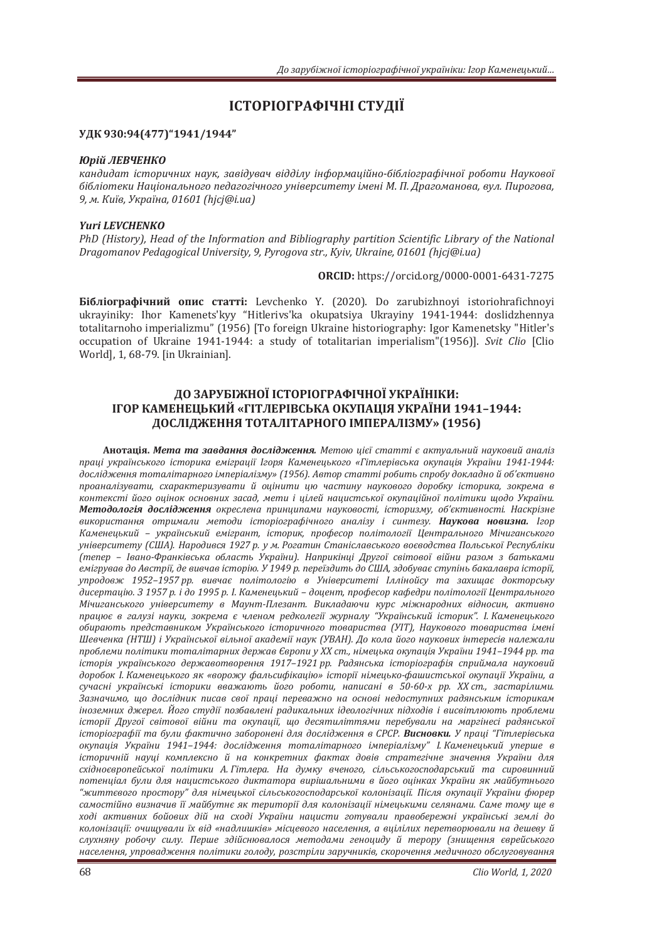# **ІСТОРІОГРАФІЧНІ СТУДІЇ**

### УДК 930:94(477)"1941/1944"

#### **Юрій ЛЕВЧЕНКО**

кандидат *історичних наук, завідувач відділу інформаційно-бібліографічної роботи Наукової* бібліотеки Національного педагогічного університету імені М. П. Драгоманова, вул. Пирогова,  $9,$  *M. Kuï*e, *Україна*, 01601 (hjcj@i.ua)

#### *Yuri LEVCHENKO*

PhD (History), Head of the Information and Bibliography partition Scientific Library of the National *Dragomanov Pedagogical University, 9, Pyrogova str., Kyiv, Ukraine, 01601 (hicj@i.ua)* 

**ORCIDǣ** https://orcid.org/0000-0001-6431-7275

**Бібліографічний опис статті:** Levchenko Y. (2020). Do zarubizhnoyi istoriohrafichnoyi ukrayiniky: Ihor Kamenets'kyy "Hitlerivs'ka okupatsiya Ukrayiny 1941-1944: doslidzhennya totalitarnoho imperializmu" (1956) [To foreign Ukraine historiography: Igor Kamenetsky "Hitler's occupation of Ukraine 1941-1944: a study of totalitarian imperialism"(1956)]. Svit Clio [Clio World], 1, 68-79. [in Ukrainian].

## ДО ЗАРУБІЖНОЇ ІСТОРІОГРАФІЧНОЇ УКРАЇНІКИ: ПГОР КАМЕНЕЦЬКИЙ «ГІТЛЕРІВСЬКА ОКУПАЦІЯ УКРАЇНИ 1941-1944: ДОСЛІДЖЕННЯ ТОТАЛІТАРНОГО ІМПЕРАЛІЗМУ» (1956)

**Анотація. Мета та завдання дослідження.** Метою иієї статті є актуальний науковий аналіз лраці українського історика еміграції *Ігоря Каменецького «Гітлерівська окупація України 1941-1944*; дослідження тоталітарного імперіалізму» (1956). Автор статті робить спробу докладно й об'єктивно  $n$ *роаналізувати, схарактеризувати й оцінити ию частину наукового доробку історика, зокрема в* контексті його оцінок основних засад, мети і цілей нацистської окупаційної політики щодо України. Методологія дослідэкення окреслена принципами науковості, історизму, об'єктивності. Наскрізне використання отримали методи *історіографічного аналізу і синтезу*. Наукова новизна. Ігор Каменецький – український емігрант, історик, професор політології Центрального Мічиганського yніверситету (США). Народився 1927 р. у м. Рогатин Станіславського воєводства Польської Республіки √тепер - Івано-Франківська область України). Наприкінці Другої світової війни разом з батьками eмігрував до Австрії, де вивчав історію. У 1949 р. переїздить до США, здобуває ступінь бакалавра історії, упродовж 1952-1957 рр. вивчає політологію в Університеті Іллінойсу та захищає докторську дисертацію. З 1957 р. і до 1995 р. І. Каменецький - доцент, професор кафедри політології Центрального Мічиганського університету в Маунт-Плезант. Викладаючи курс міжнародних відносин, активно працює в галузі науки, зокрема є членом редколегії журналу "Український історик". І. Каменецького *обирають представником Українського історичного товариства (УІТ), Наукового товариства імені* Шевченка (НТШ) і Української вільної академії наук (УВАН). До кола його наукових інтересів належали проблеми політики тоталітарних держав Європи у XX ст., німецька окупація України 1941-1944 рр. та icmopiя українського державотворення 1917-1921 рр. Радянська icmopioграфія сприймала науковий доробок І. Каменецького як «ворожу фальсифікацію» історії німецько-фашистської окупації України, а сучасні українські історики вважають його роботи, написані в 50-60-х рр. XX ст., застарілими. Зазначимо, що дослідник писав свої праці переважно на основі недоступних радянським історикам іноземних джерел. Його студії позбавлені радикальних *ідеологічних підходів і висвітлюють проблеми* iсторії Другої світової війни та окупації, що десятиліттями перебували на маргінесі радянської *icmopioграфії та були фактично заборонені для дослідження в СРСР. Висновки. У праці "Гітлерівська ˑˍ˖˒˃˙˪ˢ ʢˍ˓˃˫ːˋ ͷͿͺͷ–ͷͿͺͺǣ ˇˑ˔ˎ˪ˇˉˈːːˢ ˕ˑ˕˃ˎ˪˕˃˓ːˑˆˑ ˪ˏ˒ˈ˓˪˃ˎ˪ˊˏ˖" ʶǤʙ˃ˏˈːˈ˙˟ˍˋˌ ˖˒ˈ˓˛ˈ ˅* iсторичнiй науці комплексно й на конкретних фактах довів стратегічне значення України для східноєвропейської політики А. Гітлера. На думку вченого, сільськогосподарський та сировинний потенціал були для нацистського диктатора вирішальними в його оцінках України як майбутнього "життєвого простору" для німецької сільськогосподарської колонізації. Після окупації України фюрер самостійно визначив її майбутнє як території для колонізації німецькими селянами. Саме тому ще в ході активних бойових дій на сході України нацисти готували правобережні українські землі до колонізаиії: очишували їх від «надлишків» місиевого населення, а виілілих перетворювали на дешеву й слухняну робочу силу. Перше здійснювалося методами геноциду й терору (знищення єврейського населення, упровадження політики голоду, розстріли заручників, скорочення медичного обслуговування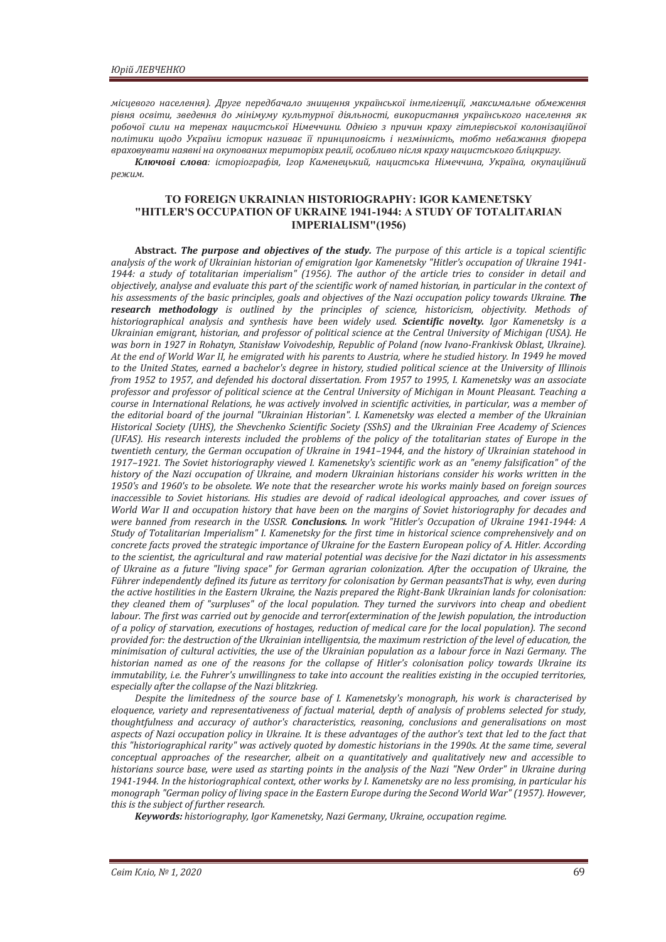місцевого населення). Друге передбачало знищення української інтелігенції, максимальне обмеження рівня освіти, зведення до мінімуму культурної діяльності, використання українського населення як робочої сили на теренах нацистської Німеччини. Однією з причин краху гітлерівської колонізаційної лолітики шодо України історик називає її принииповість і незмінність, тобто небажання фюрера враховувати наявні на окупованих територіях реалії, особливо після краху нацистського бліцкригу.

Ключові слова: icmopioграфія, lгор Каменецький, нацистська Німеччина, Україна, окупаційний  $P^{\rho}$ *Юежим.* 

#### **TO FOREIGN UKRAINIAN HISTORIOGRAPHY: IGOR KAMENETSKY "HITLER'S OCCUPATION OF UKRAINE 1941-1944: A STUDY OF TOTALITARIAN IMPERIALISM"(1956)**

**Abstract. The purpose and objectives of the study.** The purpose of this article is a topical scientific analysis of the work of Ukrainian historian of emigration Igor Kamenetsky "Hitler's occupation of Ukraine 1941-*1944: a study of totalitarian imperialism" (1956). The author of the article tries to consider in detail and objectively, analyse and evaluate this part of the scientific work of named historian, in particular in the context of* his assessments of the basic principles, goals and objectives of the Nazi occupation policy towards Ukraine. The *research methodology is outlined by the principles of science, historicism, objectivity. Methods of historiographical analysis and synthesis have been widely used. Scientific novelty. Igor Kamenetsky is a* Ukrainian emigrant, historian, and professor of political science at the Central University of Michigan (USA). He was born in 1927 in Rohatyn, Stanisław Voivodeship, Republic of Poland (now Ivano-Frankivsk Oblast, Ukraine). At the end of World War II, he emigrated with his parents to Austria, where he studied history. In 1949 he moved to the United States, earned a bachelor's degree in history, studied political science at the University of Illinois *from 1952 to 1957, and defended his doctoral dissertation. From 1957 to 1995, I. Kamenetsky was an associate* professor and professor of political science at the Central University of Michigan in Mount Pleasant. Teaching a course in International Relations, he was actively involved in scientific activities, in particular, was a member of the editorial board of the journal "Ukrainian Historian". I. Kamenetsky was elected a member of the Ukrainian Historical Society (UHS), the Shevchenko Scientific Society (SShS) and the Ukrainian Free Academy of Sciences *(UFAS). His research interests included the problems of the policy of the totalitarian states of Europe in the twentieth century, the German occupation of Ukraine in 1941-1944, and the history of Ukrainian statehood in* 1917-1921. The Soviet historiography viewed I. Kamenetsky's scientific work as an "enemy falsification" of the history of the Nazi occupation of Ukraine, and modern Ukrainian historians consider his works written in the 1950's and 1960's to be obsolete. We note that the researcher wrote his works mainly based on foreign sources inaccessible to Soviet historians. His studies are devoid of radical ideological approaches, and cover issues of World War II and occupation history that have been on the margins of Soviet historiography for decades and *were banned from research in the USSR. Conclusions. In work "Hitler's Occupation of Ukraine 1941-1944: A Study of Totalitarian Imperialism" I. Kamenetsky for the first time in historical science comprehensively and on* concrete facts proved the strategic importance of Ukraine for the Eastern European policy of A. Hitler. According to the scientist, the agricultural and raw material potential was decisive for the Nazi dictator in his assessments of Ukraine as a future "living space" for German agrarian colonization. After the occupation of Ukraine, the Führer independently defined its future as territory for colonisation by German peasantsThat is why, even during the active hostilities in the Eastern Ukraine, the Nazis prepared the Right-Bank Ukrainian lands for colonisation: they cleaned them of "surpluses" of the local population. They turned the survivors into cheap and obedient labour. The first was carried out by genocide and terror(extermination of the Jewish population, the introduction *of a policy of starvation, executions of hostages, reduction of medical care for the local population). The second* provided for: the destruction of the Ukrainian intelligentsia, the maximum restriction of the level of education, the minimisation of cultural activities, the use of the Ukrainian population as a labour force in Nazi Germany. The historian named as one of the reasons for the collapse of Hitler's colonisation policy towards Ukraine its *immutability, i.e. the Fuhrer's unwillingness to take into account the realities existing in the occupied territories, especially after the collapse of the Nazi blitzkrieg.* 

Despite the limitedness of the source base of *I. Kamenetsky's monograph, his work is characterised by* eloquence, variety and representativeness of factual material, depth of analysis of problems selected for study, thoughtfulness and accuracy of author's characteristics, reasoning, conclusions and generalisations on most aspects of Nazi occupation policy in Ukraine. It is these advantages of the author's text that led to the fact that *this "historiographical rarity" was actively quoted by domestic historians in the 1990s. At the same time, several* conceptual approaches of the researcher, albeit on a quantitatively and qualitatively new and accessible to historians source base, were used as starting points in the analysis of the Nazi "New Order" in Ukraine during 1941-1944. In the historiographical context, other works by I. Kamenetsky are no less promising, in particular his monograph "German policy of living space in the Eastern Europe during the Second World War" (1957). However, this is the subject of further research.

*Keywords: historiography, Igor Kamenetsky, Nazi Germany, Ukraine, occupation regime.*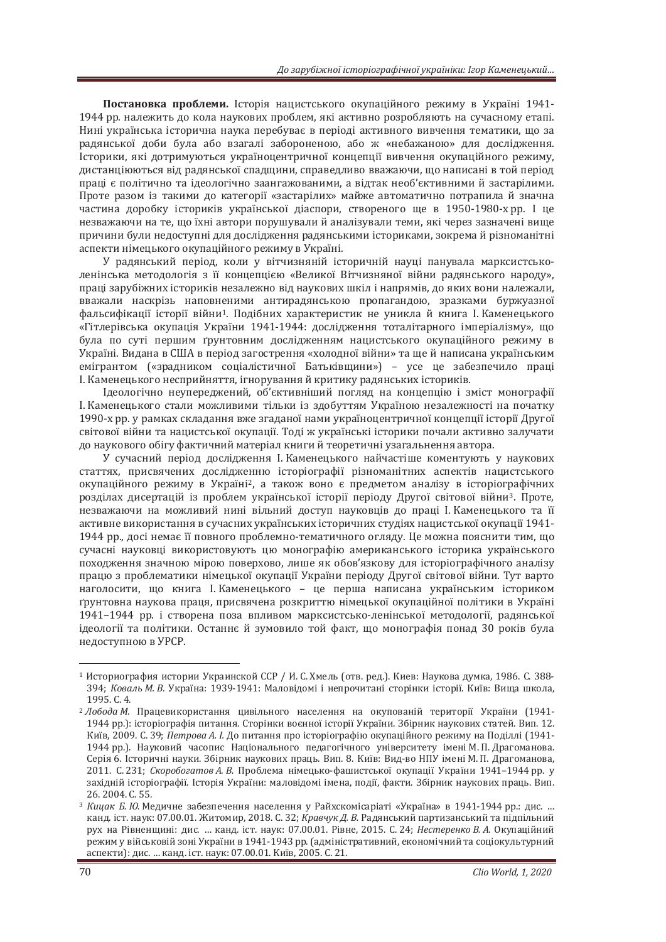Постановка проблеми. Історія нацистського окупаційного режиму в Україні 1941-1944 рр. належить до кола наукових проблем, які активно розробляють на сучасному етапі. Нині українська історична наука перебуває в періоді активного вивчення тематики, що за радянської доби була або взагалі забороненою, або ж «небажаною» для дослідження. Історики, які дотримуються україноцентричної концепції вивчення окупаційного режиму, листанціюються від радянської спалшини, справедливо вважаючи, що написані в той період праці є політично та ілеологічно заангажованими, а відтак необ'єктивними й застарілими. Проте разом із такими до категорії «застарілих» майже автоматично потрапила й значна частина доробку істориків української діаспори, створеного ще в 1950-1980-хрр. І це незважаючи на те, що їхні автори порушували й аналізували теми, які через зазначені вище причини були недоступні для дослідження радянськими істориками, зокрема й різноманітні аспекти німецького окупаційного режиму в Україні.

У радянський період, коли у вітчизняній історичній науці панувала марксистськоленінська методологія з її концепцією «Великої Вітчизняної війни радянського народу», праці зарубіжних істориків незалежно від наукових шкіл і напрямів, до яких вони належали, вважали наскрізь наповненими антирадянською пропагандою, зразками буржуазної фальсифікації історії війни<sup>1</sup>. Полібних характеристик не уникла й книга І. Каменецького «Гітлерівська окупація України 1941-1944: дослідження тоталітарного імперіалізму», що була по суті першим ґрунтовним дослідженням нацистського окупаційного режиму в Україні. Видана в США в період загострення «холодної війни» та ще й написана українським емігрантом («зрадником соціалістичної Батьківщини») - усе це забезпечило праці I. Каменецького несприйняття, ігнорування й критику радянських істориків.

Ідеологічно неупереджений, об'єктивніший погляд на концепцію і зміст монографії I. Каменецького стали можливими тільки із здобуттям Україною незалежності на початку 1990-х рр. у рамках складання вже згаданої нами україноцентричної концепції історії Другої світової війни та нацистської окупації. Тоді ж українські історики почали активно залучати до наукового обігу фактичний матеріал книги й теоретичні узагальнення автора.

У сучасний період дослідження І. Каменецького найчастіше коментують у наукових статтях, присвячених дослідженню історіографії різноманітних аспектів нацистського окупаційного режиму в Україні<sup>2</sup>, а також воно є предметом аналізу в історіографічних розділах дисертацій із проблем української історії періоду Другої світової війни<sup>з</sup>. Проте, незважаючи на можливий нині вільний доступ науковців до праці І. Каменецького та її активне використання в сучасних українських історичних студіях нацистської окупації 1941-1944 рр., досі немає її повного проблемно-тематичного огляду. Це можна пояснити тим, що сучасні науковці використовують цю монографію американського історика українського похолження значною мірою поверхово, лише як обов'язкову для історіографічного аналізу працю з проблематики німецької окупації України періоду Другої світової війни. Тут варто наголосити, що книга І. Каменецького - це перша написана українським істориком грунтовна наукова праця, присвячена розкриттю німецької окупаційної політики в Україні 1941–1944 рр. і створена поза впливом марксистсько-ленінської методології, радянської ідеології та політики. Останнє й зумовило той факт, що монографія понад 30 років була нелоступною в УРСР.

 $1$  Историография истории Украинской ССР / И. С. Хмель (отв. ред.). Киев: Наукова думка. 1986. С. 388-394; *Коваль М. В. Україна*; 1939-1941; Маловідомі і непрочитані сторінки історії. Київ: Виша школа. лэр 1995. С. 4.<br><sup>2</sup> Лобода М. Працевикористання цивільного населення на окупованій території України (1941-

<sup>1944</sup> рр.): історіографія питання. Сторінки воєнної історії України. Збірник наукових статей. Вип. 12. Київ, 2009. С. 39; Петрова А. І. До питання про історіографію окупаційного режиму на Поділлі (1941-1944 рр.). Науковий часопис Національного педагогічного університету імені М. П. Драгоманова. Серія 6. Історичні науки. Збірник наукових праць. Вип. 8. Київ: Вид-во НПУ імені М. П. Драгоманова, 2011. С. 231; Скоробогатов А. В. Проблема німецько-фашистської окупації України 1941-1944 рр. у західній історіографії. Історія України: маловідомі імена, події, факти. Збірник наукових праць. Вип. 26. 2004. C. 55.

<sup>&</sup>lt;sup>3</sup> Кицак Б. Ю. Медичне забезпечення населення у Райхскомісаріаті «Україна» в 1941-1944 рр.: дис. ... канд. iст. наук: 07.00.01. Житомир, 2018. С. 32; *Кравчук Д. В.* Радянський партизанський та підпільний рух на Рівненщині: дис. ... канд. іст. наук: 07.00.01. Рівне, 2015. С. 24; *Нестеренко В. А.* Окупаційний режим у військовій зоні України в 1941-1943 рр. (адміністративний, економічний та соціокультурний аспекти): дис. ... канд. іст. наук: 07.00.01. Київ, 2005. С. 21.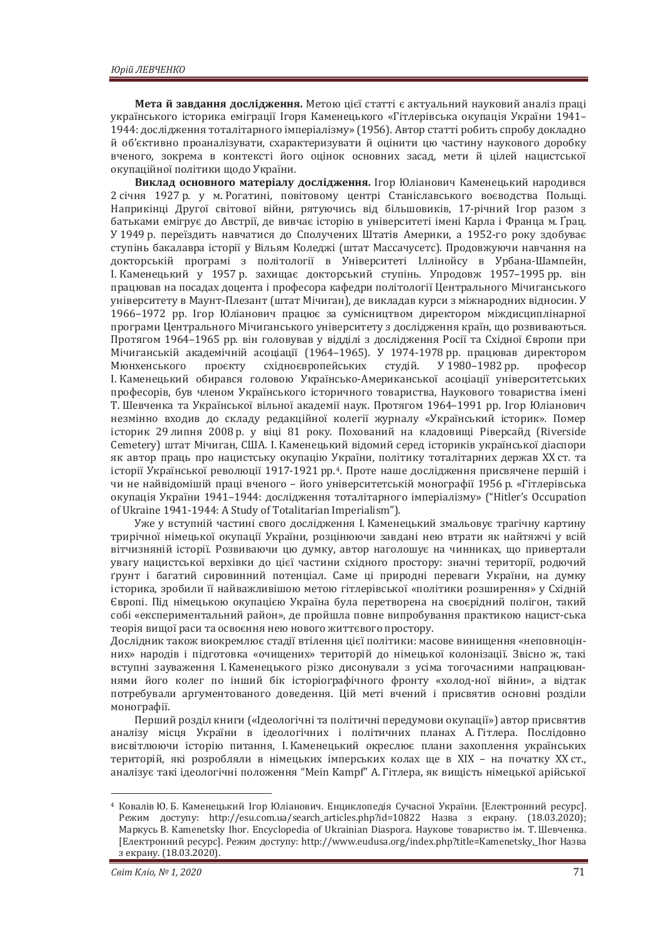Мета й завдання дослідження. Метою цієї статті є актуальний науковий аналіз праці українського історика еміграції Ігоря Каменецького «Гітлерівська окупація України 1941-1944: дослідження тоталітарного імперіалізму» (1956). Автор статті робить спробу докладно й об'єктивно проаналізувати, схарактеризувати й оцінити цю частину наукового доробку вченого, зокрема в контексті його оцінок основних засад, мети й цілей нацистської окупаційної політики шоло України.

Виклад основного матеріалу дослідження. Ігор Юліанович Каменецький народився 2 січня 1927 р. у м. Рогатині, повітовому центрі Станіславського воєводства Польщі. Наприкінці Другої світової війни, рятуючись від більшовиків, 17-річний Ігор разом з батьками емігрує до Австрії, де вивчає історію в університеті імені Карла і Франца м. Ґрац. У 1949 р. переїздить навчатися до Сполучених Штатів Америки, а 1952-го року здобуває ступінь бакалавра історії у Вільям Коледжі (штат Массачусетс). Продовжуючи навчання на докторській програмі з політології в Університеті Іллінойсу в Урбана-Шампейн, I. Каменецький у 1957 р. захищає докторський ступінь. Упродовж 1957–1995 рр. він працював на посадах доцента і професора кафедри політології Центрального Мічиганського університету в Маунт-Плезант (штат Мічиган), де викладав курси з міжнародних відносин. У 1966–1972 рр. Ігор Юліанович працює за сумісництвом директором міждисциплінарної програми Центрального Мічиганського університету з лослідження країн, що розвиваються. Протягом 1964–1965 рр. він головував у відділі з дослідження Росії та Східної Європи при Мічиганській академічній асоціації (1964–1965). У 1974-1978 рр. працював директором Мюнхенського проєкту східноєвропейських студій. У 1980-1982 рр. професор I. Каменецький обирався головою Українсько-Американської асоціації університетських професорів, був членом Українського історичного товариства, Наукового товариства імені Т. Шевченка та Української вільної академії наук. Протягом 1964–1991 рр. Ігор Юліанович незмінно входив до складу редакційної колегії журналу «Український історик». Помер історик 29 липня 2008 р. у віці 81 року. Похований на кладовищі Ріверсайд (Riverside Сетеtery) штат Мічиган, США. І. Каменецький відомий серед істориків української діаспори як автор праць про нацистську окупацію України, політику тоталітарних держав XX ст. та історії Української революції 1917-1921 рр.<sup>4</sup>. Проте наше дослідження присвячене першій і чи не найвідомішій праці вченого - його університетській монографії 1956 р. «Гітлерівська окупація України 1941–1944: дослідження тоталітарного імперіалізму» ("Hitler's Occupation of Ukraine 1941-1944: A Study of Totalitarian Imperialism").

Уже у вступній частині свого дослідження І. Каменецький змальовує трагічну картину трирічної німецької окупації України, розцінюючи завдані нею втрати як найтяжчі у всій вітчизняній історії. Розвиваючи цю думку, автор наголошує на чинниках, що привертали увагу нацистської верхівки до цієї частини східного простору: значні території, родючий грунт і багатий сировинний потенціал. Саме ці природні переваги України, на думку історика, зробили її найважливішою метою гітлерівської «політики розширення» у Східній Європі. Під німецькою окупацією Україна була перетворена на своєрідний полігон, такий собі «експериментальний район», де пройшла повне випробування практикою нацист-ська теорія вищої раси та освоєння нею нового життєвого простору.

Дослідник також виокремлює стадії втілення цієї політики: масове винищення «неповноцінних» народів і підготовка «очищених» територій до німецької колонізації. Звісно ж, такі вступні зауваження І. Каменецького різко дисонували з усіма тогочасними напрацюваннями його колег по інший бік історіографічного фронту «холод-ної війни», а відтак потребували аргументованого доведення. Цій меті вчений і присвятив основні розділи монографії.

Перший розділ книги («Ідеологічні та політичні передумови окупації») автор присвятив аналізу місця України в ідеологічних і політичних планах А. Гітлера. Послідовно висвітлюючи історію питання, І. Каменецький окреслює плани захоплення українських територій, які розробляли в німецьких імперських колах ще в XIX - на початку XX ст., аналізує такі ідеологічні положення "Mein Kampf" А. Гітлера, як вищість німецької арійської

<sup>&</sup>lt;sup>4</sup> Ковалів Ю. Б. Каменецький Ігор Юліанович. Енциклопедія Сучасної України. [Електронний ресурс]. Режим доступу: http://esu.com.ua/search\_articles.php?id=10822 Назва з екрану. (18.03.2020); Маркусь В. Kamenetsky Ihor. Encyclopedia of Ukrainian Diaspora. Наукове товариство ім. Т. Шевченка. [Електронний ресурс]. Режим доступу: http://www.eudusa.org/index.php?title=Kamenetsky, Ihor Назва з екрану. (18.03.2020).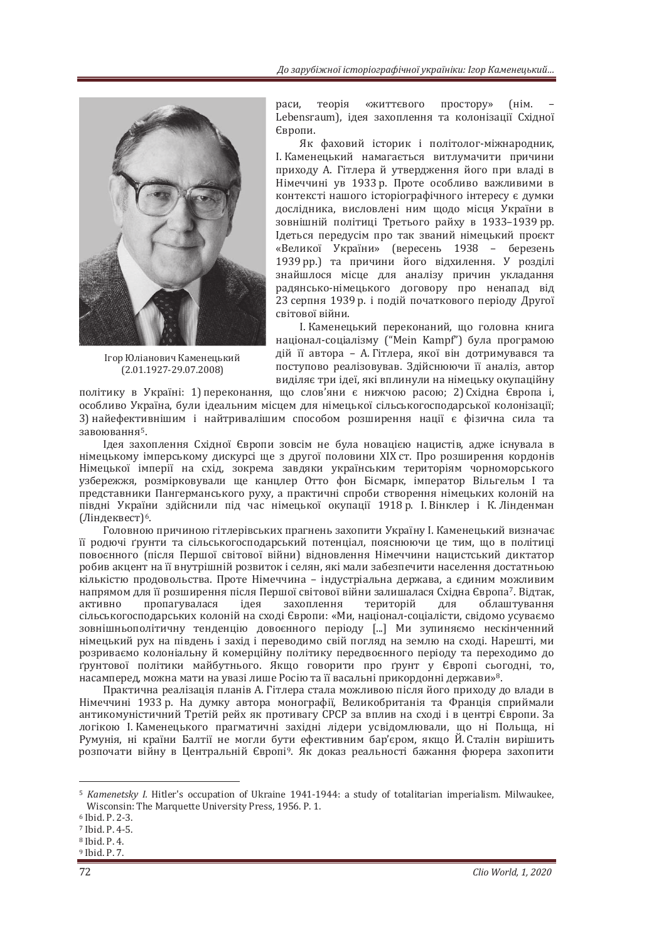

Ігор Юліанович Каменецький  $(2.01.1927 - 29.07.2008)$ 

раси, теорія «життєвого простору» (нім. Lebensraum), ідея захоплення та колонізації Східної Європи.

Як фаховий історик і політолог-міжнародник. I. Каменецький намагається витлумачити причини приходу А. Гітлера й утвердження його при владі в Німеччині ув 1933 р. Проте особливо важливими в контексті нашого історіографічного інтересу є думки дослідника, висловлені ним щодо місця України в зовнішній політиці Третього райху в 1933-1939 рр. Iдеться передусім про так званий німецький проєкт «Великої України» (вересень 1938 – березень 1939 рр.) та причини його відхилення. У розділі знайшлося місце для аналізу причин укладання радянсько-німецького договору про ненапад від 23 серпня 1939 р. і подій початкового періоду Другої світової війни.

I. Каменецький переконаний, що головна книга націонал-соціалізму ("Mein Kampf") була програмою дій її автора – А. Гітлера, якої він дотримувався та поступово реалізовував. Здійснюючи її аналіз, автор виділяє три ідеї, які вплинули на німецьку окупаційну

політику в Україні: 1) переконання, що слов'яни є нижчою расою: 2) Східна Європа і. особливо Україна, були ідеальним місцем для німецької сільськогосподарської колонізації; 3) найефективнішим і найтривалішим способом розширення нації є фізична сила та  $3a$ воювання<sup>5</sup>.

Цдея захоплення Східної Європи зовсім не була новацією нацистів, адже існувала в німецькому імперському дискурсі ще з другої половини XIX ст. Про розширення кордонів Німецької імперії на схід, зокрема завдяки українським територіям чорноморського узбережжя, розмірковували ще канцлер Отто фон Бісмарк, імператор Вільгельм I та представники Пангерманського руху, а практичні спроби створення німецьких колоній на півдні України здійснили під час німецької окупації 1918 р. І. Вінклер і К. Лінденман (Ліндеквест)<sup>6</sup>.

Головною причиною гітлерівських прагнень захопити Україну І. Каменецький визначає її родючі ґрунти та сільськогосподарський потенціал, пояснюючи це тим, що в політиці повоєнного (після Першої світової війни) відновлення Німеччини нацистський диктатор робив акцент на її внутрішній розвиток і селян, які мали забезпечити населення достатньою кількістю продовольства. Проте Німеччина - індустріальна держава, а єдиним можливим напрямом для її розширення після Першої світової війни залишалася Східна Європа<sup>7</sup>. Відтак, активно пропагувалася ідея захоплення територій для облаштування сільськогосподарських колоній на сході Європи: «Ми, націонал-соціалісти, свідомо усуваємо зовнішньополітичну тенденцію довоєнного періоду [...] Ми зупиняємо нескінченний німецький рух на південь і захід і переводимо свій погляд на землю на сході. Нарешті, ми розриваємо колоніальну й комерційну політику передвоєнного періоду та переходимо до грунтової політики майбутнього. Якщо говорити про ґрунт у Європі сьогодні, то, насамперед, можна мати на увазі лише Росію та її васальні прикордонні держави»<sup>8</sup>.

Практична реалізація планів А. Гітлера стала можливою після його приходу до влади в Німеччині 1933 р. На думку автора монографії, Великобританія та Франція сприймали антикомуністичний Третій рейх як противагу СРСР за вплив на сході і в центрі Європи. За логікою І. Каменецького прагматичні західні лідери усвідомлювали, що ні Польща, ні Румунія, ні країни Балтії не могли бути ефективним бар'єром, якщо Й. Сталін вирішить розпочати війну в Центральній Європі<sup>9</sup>. Як доказ реальності бажання фюрера захопити

<sup>&</sup>lt;sup>5</sup> *Kamenetsky I.* Hitler's occupation of Ukraine 1941-1944: a study of totalitarian imperialism. Milwaukee, Wisconsin: The Marquette University Press, 1956. P. 1.<br><sup>6</sup> Ibid. P. 2-3.<br><sup>7</sup> Ibid. P. 4-5.<br><sup>8</sup> Ibid. P. 4.

 $9$  Ibid. P.  $7.$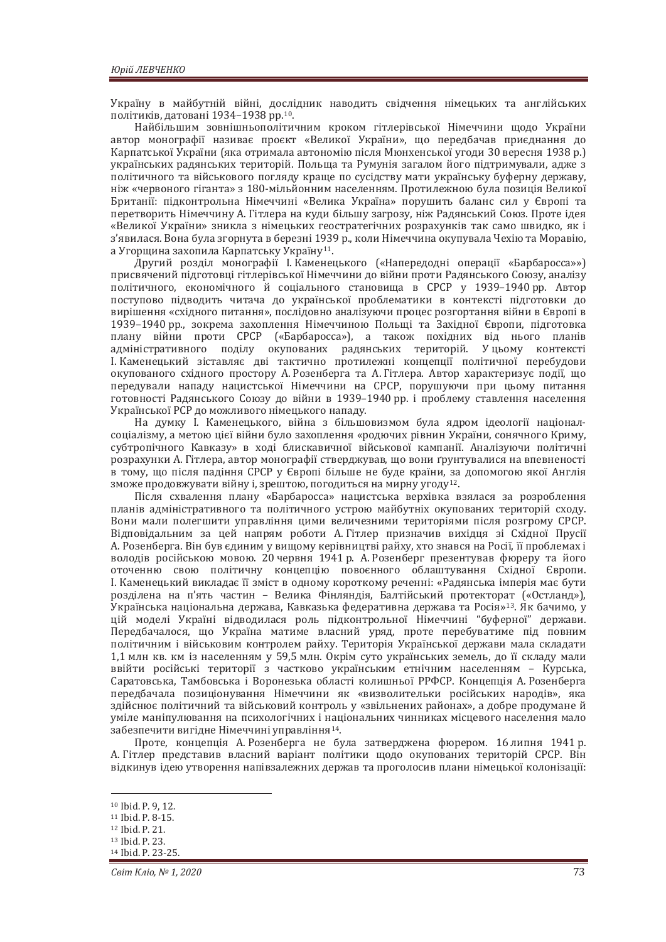Україну в майбутній війні, дослідник наводить свідчення німецьких та англійських політиків, датовані 1934-1938 рр. 10.

Найбільшим зовнішньополітичним кроком гітлерівської Німеччини щодо України автор монографії називає проєкт «Великої України», що передбачав приєднання до Карпатської України (яка отримала автономію після Мюнхенської угоди 30 вересня 1938 р.) українських радянських територій. Польща та Румунія загалом його підтримували, адже з політичного та військового погляду краще по сусідству мати українську буферну державу, ніж «червоного гіганта» з 180-мільйонним населенням. Протилежною була позиція Великої Британії: підконтрольна Німеччині «Велика Україна» порушить баланс сил у Європі та перетворить Німеччину А. Гітлера на куди більшу загрозу, ніж Радянський Союз. Проте ідея «Великої України» зникла з німецьких геостратегічних розрахунків так само швидко, як і з'явилася. Вона була згорнута в березні 1939 р., коли Німеччина окупувала Чехію та Моравію, а Угорщина захопила Карпатську Україну<sup>11</sup>.

Другий розділ монографії І. Каменецького («Напередодні операції «Барбаросса»») присвячений підготовці гітлерівської Німеччини до війни проти Радянського Союзу, аналізу толітичного, економічного й соціального становища в СРСР у 1939-1940 рр. Автор поступово підводить читача до української проблематики в контексті підготовки до вирішення «східного питання», послідовно аналізуючи процес розгортання війни в Європі в 1939-1940 рр., зокрема захоплення Німеччиною Польщі та Західної Європи, підготовка плану війни проти СРСР («Барбаросса»), а також похідних від нього планів адміністративного поділу окупованих радянських територій. Уцьому контексті I. Каменецький зіставляє дві тактично протилежні концепції політичної перебудови окупованого східного простору А. Розенберга та А. Гітлера. Автор характеризує події, що передували нападу нацистської Німеччини на СРСР, порушуючи при цьому питання готовності Радянського Союзу до війни в 1939-1940 рр. і проблему ставлення населення Української РСР до можливого німецького нападу.

На думку І. Каменецького, війна з більшовизмом була ядром ідеології націоналсоціалізму, а метою цієї війни було захоплення «родючих рівнин України, сонячного Криму, субтропічного Кавказу» в ході блискавичної військової кампанії. Аналізуючи політичні розрахунки А. Гітлера, автор монографії стверджував, що вони ґрунтувалися на впевненості в тому, що після падіння СРСР у Європі більше не буде країни, за допомогою якої Англія зможе продовжувати війну і, зрештою, погодиться на мирну угоду<sup>12</sup>.

Після схвалення плану «Барбаросса» нацистська верхівка взялася за розроблення планів адміністративного та політичного устрою майбутніх окупованих територій сходу. Вони мали полегшити управління цими величезними територіями після розгрому СРСР. Вілповілальним за цей напрям роботи А. Гітлер призначив вихілця зі Схілної Прусії А. Розенберга. Він був єдиним у вищому керівництві райху, хто знався на Росії, її проблемах і володів російською мовою. 20 червня 1941 р. А. Розенберг презентував фюреру та його оточенню свою політичну концепцію повоєнного облаштування Східної Європи. I. Каменецький викладає її зміст в одному короткому реченні: «Радянська імперія має бути розділена на п'ять частин - Велика Фінляндія, Балтійський протекторат («Остланд»), Українська національна держава. Кавказька федеративна держава та Росія»<sup>13</sup>. Як бачимо. У цій моделі Україні відводилася роль підконтрольної Німеччині "буферної" держави. Передбачалося що Україна матиме власний уряд, проте перебуватиме під повним політичним і військовим контролем райху. Територія Української лержави мала склалати 1.1 млн кв. км із населенням у 59.5 млн. Окрім суто українських земель, ло її склалу мали ввійти російські території з частково українським етнічним населенням - Курська. Саратовська. Тамбовська і Воронезька області колишньої РРФСР. Концепція А. Розенберга передбачала позиціонування Німеччини як «визволительки російських народів», яка здійснює політичний та військовий контроль у «звільнених районах», а добре продумане й уміле маніпулювання на психологічних і національних чинниках місцевого населення мало забезпечити вигідне Німеччині управління<sup>14</sup>.

Проте, концепція А. Розенберга не була затверджена фюрером. 16 липня 1941 р. А. Гітлер представив власний варіант політики щодо окупованих територій СРСР. Він відкинув ідею утворення напівзалежних держав та проголосив плани німецької колонізації:

<sup>&</sup>lt;sup>10</sup> Ibid. P. 9, 12.<br><sup>11</sup> Ibid P 8-15

<sup>12</sup> Ibid. P. 21.

<sup>13</sup> Ibid. P. 23.

<sup>14</sup> Ibid. P. 23-25.

*Ceim Knio, Nº 1, 2020* 73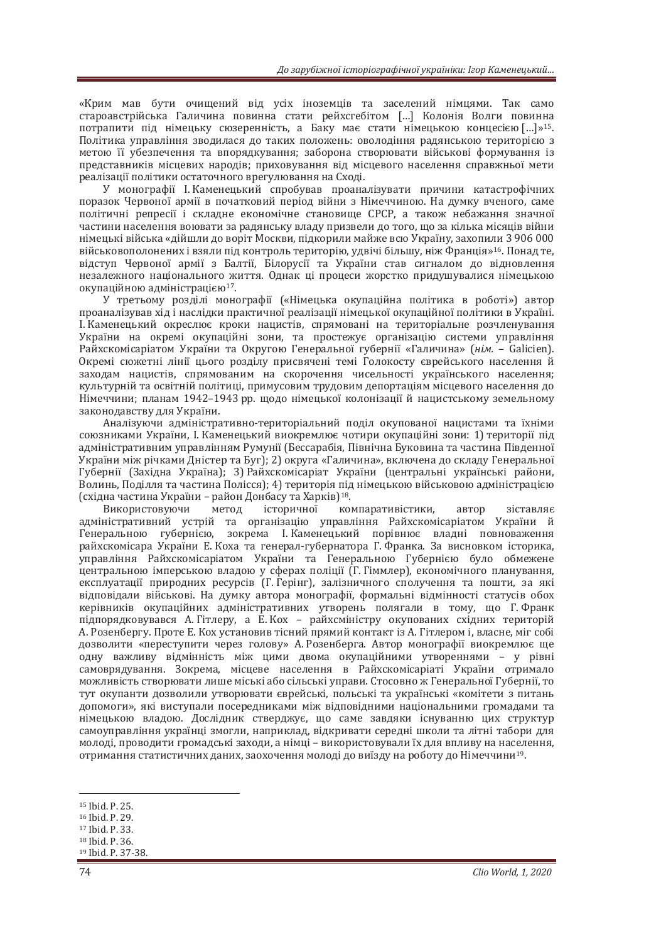«Крим мав бути очищений від усіх іноземців та заселений німцями. Так само староавстрійська Галичина повинна стати рейхсгебітом [...] Колонія Волги повинна потрапити під німецьку сюзеренність, а Баку має стати німецькою концесією [...]»<sup>15</sup>. Політика управління зводилася до таких положень: оволодіння радянською територією з метою її убезпечення та впорядкування; заборона створювати військові формування із представників місцевих народів; приховування від місцевого населення справжньої мети реалізації політики остаточного врегулювання на Сході.

У монографії І. Каменецький спробував проаналізувати причини катастрофічних поразок Червоної армії в початковий період війни з Німеччиною. На думку вченого, саме політичні репресії і складне економічне становище СРСР, а також небажання значної частини населення воювати за радянську владу призвели до того, що за кілька місяців війни німецькі війська «дійшли до воріт Москви, підкорили майже всю Україну, захопили 3 906 000 військовополонених і взяли під контроль територію, удвічі більшу, ніж Франція»<sup>16</sup>. Понад те, відступ Червоної армії з Балтії, Білорусії та України став сигналом до відновлення незалежного національного життя. Однак ці процеси жорстко придушувалися німецькою окупаційною адміністрацією<sup>17</sup>.

У третьому розділі монографії («Німецька окупаційна політика в роботі») автор проаналізував хід і наслідки практичної реалізації німецької окупаційної політики в Україні. I. Каменецький окреслює кроки нацистів, спрямовані на територіальне розчленування України на окремі окупаційні зони та простежує організацію системи управління Райхскомісаріатом України та Округою Генеральної губернії «Галичина» (нім. - Galicien). Окремі сюжетні лінії цього розділу присвячені темі Голокосту єврейського населення й заходам нацистів, спрямованим на скорочення чисельності українського населення; культурній та освітній політиці, примусовим трудовим депортаціям місцевого населення до Німеччини; планам 1942-1943 рр. щодо німецької колонізації й нацистському земельному законодавству для України.

Аналізуючи адміністративно-територіальний поділ окупованої нацистами та їхніми союзниками України, І. Каменецький виокремлює чотири окупаційні зони: 1) території під адміністративним управлінням Румунії (Бессарабія, Північна Буковина та частина Південної України між річками Дністер та Буг); 2) округа «Галичина», включена до складу Генеральної Губернії (Західна Україна); 3) Райхскомісаріат України (центральні українські райони, Волинь, Поділля та частина Полісся); 4) територія під німецькою військовою адміністрацією (східна частина України – район Донбасу та Харків)<sup>18</sup>.<br>Використовуючи — метод історичної ко

<u>летол історичної компаративістики, автор зіставляє</u> адміністративний устрій та організацію управління Райхскомісаріатом України й Генеральною губернією, зокрема І.Каменецький порівнює владні повноваження райхскомісара України Е. Коха та генерал-губернатора Г. Франка. За висновком історика, <u>vправління Райхскомісаріатом України та Генеральною Губернією було обмежене</u> центральною імперською владою у сферах поліції (Г. Гіммлер), економічного планування, експлуатації природних ресурсів (Г. Герінг), залізничного сполучення та пошти, за які відповідали військові. На думку автора монографії, формальні відмінності статусів обох керівників окупаційних адміністративних утворень полягали в тому, що Г.Франк підпорядковувався А. Гітлеру, а Е. Кох – райхсміністру окупованих східних територій A. Розенбергу. Проте Е. Кох установив тісний прямий контакт із А. Гітлером і. власне, міг собі лозволити «переступити через голову» А. Розенберга. Автор монографії виокремлює ще  $\overline{O}$ лну важливу вілмінність між цими лвома окупаційними утвореннями – у рівні самоврялування. Зокрема місцеве населення в Райхскомісаріаті України отримало можливість створювати лише міські або сільські управи. Стосовно ж Генеральної Губернії, то тут окупанти лозволили утворювати єврейські, польські та українські «комітети з питань допомоги», які виступали посередниками між відповідними національними громадами та німецькою владою. Дослідник стверджує, що саме завдяки існуванню цих структур самоуправління українці змогли, наприклад, відкривати середні школи та літні табори для молоді, проводити громадські заходи, а німці – використовували їх для впливу на населення, отримання статистичних даних, заохочення молоді до виїзду на роботу до Німеччини<sup>19</sup>.

<sup>15</sup> Ibid. P. 25.

 $16$  Ihid. P  $29$ 

<sup>17</sup> Ibid. P. 33.

<sup>18</sup> Ibid. P. 36.

<sup>19</sup> Ibid. P. 37-38.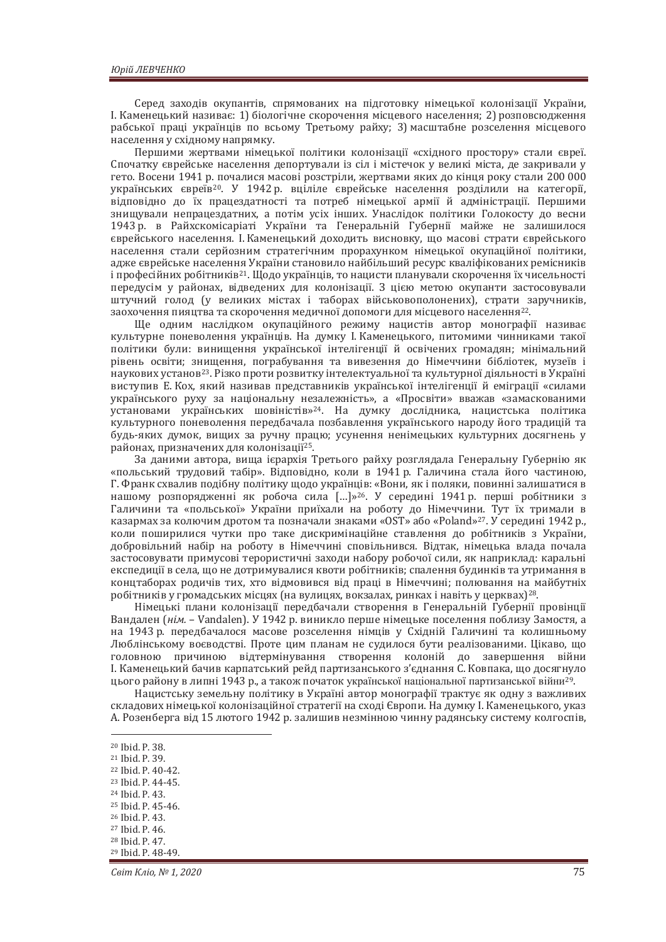Серед заходів окупантів, спрямованих на підготовку німецької колонізації України, I. Каменецький називає: 1) біологічне скорочення місцевого населення; 2) розповсюдження рабської праці українців по всьому Третьому райху; 3) масштабне розселення місцевого населення у східному напрямку.

Першими жертвами німецької політики колонізації «східного простору» стали євреї. Спочатку єврейське населення депортували із сіл і містечок у великі міста, де закривали у гето. Восени 1941 р. почалися масові розстріли, жертвами яких до кінця року стали 200 000 українських євреїв<sup>20</sup>. У 1942 р. вціліле єврейське населення розділили на категорії, відповідно до їх працездатності та потреб німецької армії й адміністрації. Першими знищували непрацездатних, а потім усіх інших. Унаслідок політики Голокосту до весни 1943 р. в Райхскомісаріаті України та Генеральній Губернії майже не залишилося єврейського населення. І. Каменецький доходить висновку, що масові страти єврейського населення стали серйозним стратегічним прорахунком німецької окупаційної політики, адже єврейське населення України становило найбільший ресурс кваліфікованих ремісників і професійних робітників<sup>21</sup>. Щодо українців, то нацисти планували скорочення їх чисельності передусім у районах, відведених для колонізації. З цією метою окупанти застосовували штучний голод (у великих містах і таборах військовополонених), страти заручників, заохочення пияцтва та скорочення медичної допомоги для місцевого населення<sup>22</sup>.

Ще одним наслідком окупаційного режиму нацистів автор монографії називає культурне поневолення українців. На думку І. Каменецького, питомими чинниками такої політики були: винишення української інтелігенції й освічених громалян: мінімальний рівень освіти; знищення, пограбування та вивезення до Німеччини бібліотек, музеїв і наукових установ<sup>23</sup>. Різко проти розвитку інтелектуальної та культурної діяльності в Україні виступив Е. Кох, який називав представників української інтелігенції й еміграції «силами українського руху за національну незалежність», а «Просвіти» вважав «замаскованими установами українських шовіністів»<sup>24</sup>. На думку дослідника, нацистська політика культурного поневолення передбачала позбавлення українського народу його традицій та будь-яких думок, вищих за ручну працю; усунення ненімецьких культурних досягнень у районах, призначених для колонізації<sup>25</sup>.

За даними автора, вища ієрархія Третього райху розглядала Генеральну Губернію як «польський трудовий табір». Відповідно, коли в 1941 р. Галичина стала його частиною, Г. Франк схвалив подібну політику щодо українців: «Вони, як і поляки, повинні залишатися в нашому розпорядженні як робоча сила [...]»<sup>26</sup>. У середині 1941 р. перші робітники з Галичини та «польської» України приїхали на роботу до Німеччини. Тут їх тримали в казармах за колючим дротом та позначали знаками «OST» або «Poland»<sup>27</sup>. У середині 1942 р., коли поширилися чутки про таке лискримінаційне ставлення до робітників з України. добровільний набір на роботу в Німеччині сповільнився. Відтак, німецька влада почала застосовувати примусові терористичні заходи набору робочої сили, як наприклад: каральні експедиції в села, що не дотримувалися квоти робітників; спалення будинків та утримання в концтаборах родичів тих, хто відмовився від праці в Німеччині; полювання на майбутніх робітників у громадських місцях (на вулицях, вокзалах, ринках і навіть у церквах)<sup>28</sup>.

Німецькі плани колонізації передбачали створення в Генеральній Губернії провінції Вандален (нім. - Vandalen). У 1942 р. виникло перше німецьке поселення поблизу Замостя, а на 1943 p. передбачалося масове розселення німців у Східній Галичині та колишньому Люблінському воєводстві. Проте цим планам не судилося бути реалізованими. Цікаво, що головною причиною відтермінування створення колоній до завершення війни I. Каменецький бачив карпатський рейл партизанського з'єлнання С. Ковпака, що лосягнуло иього району в липні 1943 р., а також початок української національної партизанської війни<sup>29</sup>.

Нацистську земельну політику в Україні автор монографії трактує як одну з важливих складових німецької колонізаційної стратегії на сході Європи. На думку І. Каменецького, указ А. Розенберга від 15 лютого 1942 р. залишив незмінною чинну радянську систему колгоспів,

- 
- <sup>23</sup> Ibid. P. 44-45.<br><sup>24</sup> Ibid. P. 43.
- 
- <sup>25</sup> Ibid. P. 45-46.<br><sup>26</sup> Ibid. P. 43.

27 Ibid. P. 46.

<sup>&</sup>lt;sup>20</sup> Ibid. P. 38.

<sup>&</sup>lt;sup>21</sup> Ibid. P. 39.<br><sup>22</sup> Ibid. P. 40-42.

<sup>28</sup> Ibid. P. 47. <sup>29</sup> Ibid. P. 48-49.

*Ceim Knio, Nº 1, 2020* 75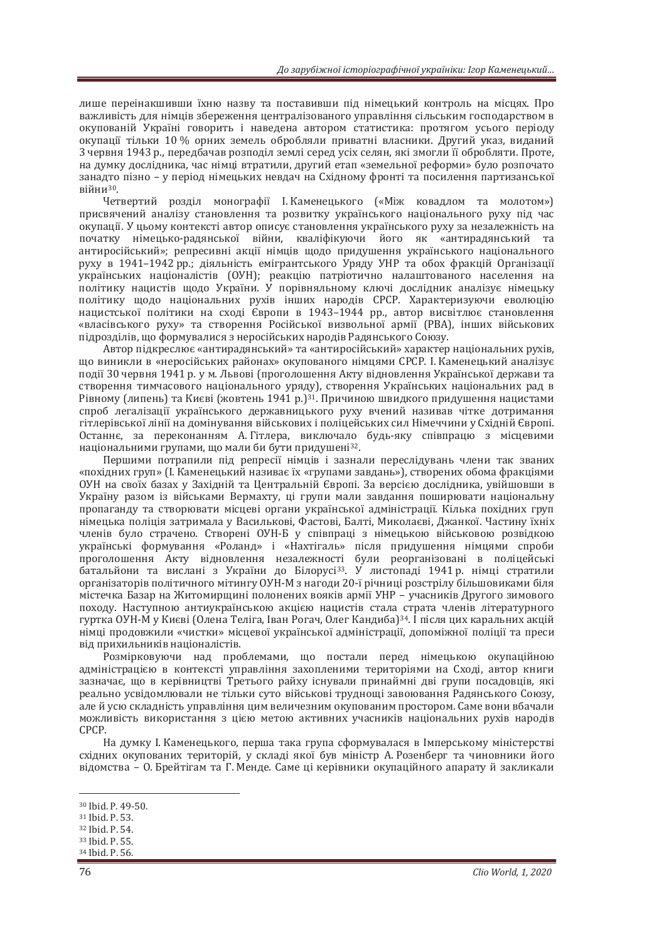лише переінакшивши їхню назву та поставивши під німецький контроль на місцях. Про важливість для німців збереження централізованого управління сільським господарством в окупованій Україні говорить і наведена автором статистика: протягом усього періоду окупації тільки 10 % орних земель обробляли приватні власники. Другий указ, виданий 3 червня 1943 р., передбачав розподіл землі серед усіх селян, які змогли її обробляти. Проте, на думку дослідника, час німці втратили, другий етап «земельної реформи» було розпочато занадто пізно – у період німецьких невдач на Східному фронті та посилення партизанської  $Bi\ddot{v}$ ни $30$ .

Четвертий розділ монографії І. Каменецького («Між ковадлом та молотом») присвячений аналізу становлення та розвитку українського національного руху під час окупації. У цьому контексті автор описує становлення українського руху за незалежність на початку німецько-радянської війни, кваліфікуючи його як «антирадянський та антиросійський»; репресивні акції німців щодо придушення українського національного руху в 1941–1942 рр.; діяльність емігрантського Уряду УНР та обох фракцій Організації українських націоналістів (ОУН); реакцію патріотично налаштованого населення на лолітику нацистів щодо України. У порівняльному ключі дослідник аналізує німецьку політику щодо національних рухів інших народів СРСР. Характеризуючи еволюцію нацистської політики на сході Європи в 1943-1944 рр., автор висвітлює становлення «власівського руху» та створення Російської визвольної армії (РВА), інших військових підрозділів, що формувалися з неросійських народів Радянського Союзу.

Автор підкреслює «антирадянський» та «антиросійський» характер національних рухів, що виникли в «неросійських районах» окупованого німцями СРСР. І. Каменецький аналізує події 30 червня 1941 р. у м. Львові (проголошення Акту відновлення Української держави та створення тимчасового національного уряду), створення Українських національних рад в Рівному (липень) та Києві (жовтень 1941 р.)<sup>31</sup>. Причиною швидкого придушення нацистами спроб легалізації українського державницького руху вчений називав чітке дотримання гітлерівської лінії на домінування військових і поліцейських сил Німеччини у Східній Європі. Останнє, за переконанням А. Гітлера, виключало будь-яку співпрацю з місцевими національними групами, що мали би бути придушені<sup>32</sup>.

Першими потрапили під репресії німців і зазнали переслідувань члени так званих «похідних груп» (І. Каменецький називає їх «групами завдань»), створених обома фракціями ОУН на своїх базах у Західній та Центральній Європі. За версією дослідника, увійшовши в Україну разом із військами Вермахту, ці групи мали завдання поширювати національну пропаганду та створювати місцеві органи української адміністрації. Кілька похідних груп німецька поліція затримала у Василькові, Фастові, Балті, Миколаєві, Джанкої. Частину їхніх членів було страчено. Створені ОУН-Б у співпраці з німецькою військовою розвілкою vкраїнські формування «Роланд» і «Нахтігаль» після придушення німцями спроби уътели проголошення Акту відновлення незалежності були реорганізовані в поліцейські батальйони та вислані з України до Білорусі<sup>зз</sup>. У листопаді 1941 р. німці стратили організаторів політичного мітингу ОУН-М з наголи 20-ї річниці розстрілу більшовиками біля містечка Базар на Житомирщині полонених вояків армії УНР - учасників Другого зимового походу. Наступною антиукраїнською акцією нацистів стала страта членів літературного гуртка ОУН-М у Києві (Олена Теліга, Іван Рогач, Олег Кандиба)<sup>34</sup>, І після цих каральних акцій німці продовжили «чистки» місцевої української адміністрації, допоміжної поліції та преси від прихильників націоналістів.

Розмірковуючи над проблемами, що постали перед німецькою окупаційною алміністрацією в контексті управління захопленими територіями на Схолі, автор книги зазначає, що в керівництві Третього райху існували принаймні дві групи посадовців, які реально усвідомлювали не тільки суто військові трудноші завоювання Радянського Союзу. але й усю складність управління цим величезним окупованим простором. Саме вони вбачали можливість використання з цією метою активних учасників національних рухів народів CPCP.

На думку I. Каменецького, перша така група сформувалася в Імперському міністерстві східних окупованих територій, у складі якої був міністр А. Розенберг та чиновники його відомства – О. Брейтігам та Г. Менде. Саме ці керівники окупаційного апарату й закликали

<sup>30</sup> Ibid. P. 49-50.<br>31 Ibid. P. 53

<sup>32</sup> Ibid. P. 54.

<sup>33</sup> Ibid. P. 55.

<sup>34</sup> Ibid. P. 56.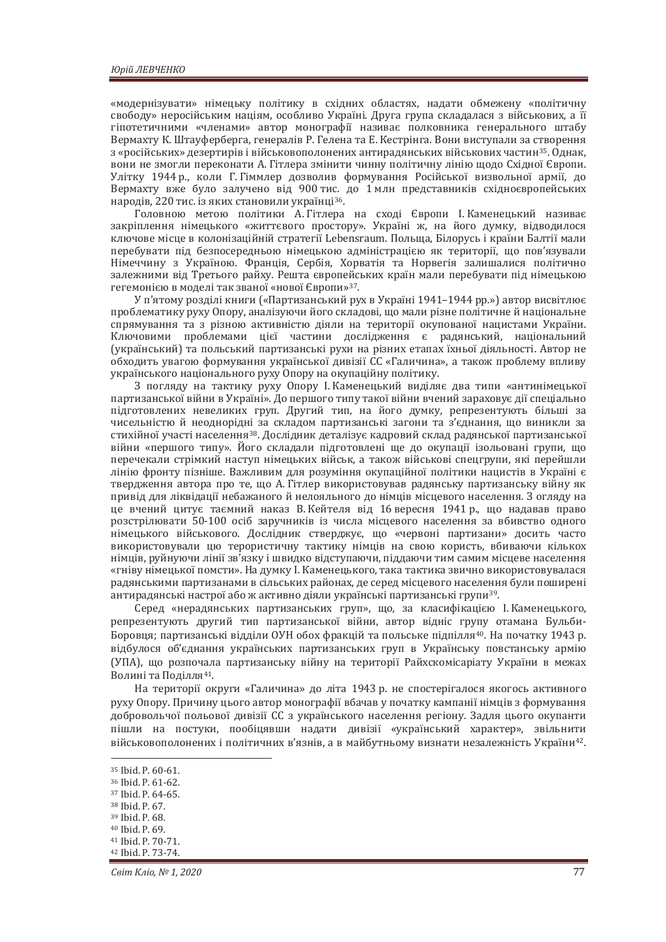«модернізувати» німецьку політику в східних областях, надати обмежену «політичну свободу» неросійським націям, особливо Україні. Друга група складалася з військових, а її гіпотетичними «членами» автор монографії називає полковника генерального штабу Вермахту К. Штауферберга, генералів Р. Гелена та Е. Кестрінга. Вони виступали за створення з «російських» дезертирів і військовополонених антирадянських військових частин<sup>35</sup>. Однак, ъони не змогли переконати А. Гітлера змінити чинну політичну лінію щодо Східної Європи. Улітку 1944 р., коли Г. Гіммлер дозволив формування Російської визвольної армії, до Вермахту вже було залучено від 900 тис. до 1 млн представників східноєвропейських народів. 220 тис. із яких становили українці<sup>36</sup>.

головною метою політики А. Гітлера на сході Європи І. Каменецький називає закріплення німецького «життєвого простору». Україні ж, на його думку, відводилося ключове місце в колонізаційній стратегії Lebensraum. Польща, Білорусь і країни Балтії мали перебувати під безпосередньою німецькою адміністрацією як території, що пов'язували Німеччину з Україною. Франція, Сербія, Хорватія та Норвегія залишалися політично залежними від Третього райху. Решта європейських країн мали перебувати під німецькою гегемонією в моделі так званої «нової Європи»<sup>37</sup>.

У п'ятому розділі книги («Партизанський рух в Україні 1941–1944 рр.») автор висвітлює проблематику руху Опору, аналізуючи його складові, що мали різне політичне й національне спрямування та з різною активністю діяли на території окупованої нацистами України. Ключовими проблемами цієї частини дослідження є радянський, національний (український) та польський партизанські рухи на різних етапах їхньої ліяльності. Автор не обходить увагою формування української дивізії СС «Галичина», а також проблему впливу українського національного руху Опору на окупаційну політику.

З погляду на тактику руху Опору I. Каменецький виділяє два типи «антинімецької партизанської війни в Україні». До першого типу такої війни вчений зараховує дії спеціально підготовлених невеликих груп. Другий тип, на його думку, репрезентують більші за чисельністю й неоднорідні за складом партизанські загони та з'єднання, що виникли за стихійної участі населення<sup>38</sup>. Дослідник деталізує кадровий склад радянської партизанської війни «першого типу». Його складали підготовлені ще до окупації ізольовані групи, що перечекали стрімкий наступ німецьких військ, а також військові спецгрупи, які перейшли лінію фронту пізніше. Важливим для розуміння окупаційної політики нацистів в Україні є твердження автора про те, що А. Гітлер використовував радянську партизанську війну як привід для ліквідації небажаного й нелояльного до німців місцевого населення. З огляду на це вчений цитує таємний наказ В. Кейтеля від 16 вересня 1941 р., що надавав право розстрілювати 50-100 осіб заручників із числа місцевого населення за вбивство одного німецького військового. Дослідник стверджує, що «червоні партизани» досить часто використовували цю терористичну тактику німців на свою користь, вбиваючи кількох німців, руйнуючи лінії зв'язку і швидко відступаючи, піддаючи тим самим місцеве населення «гніву німецької помсти». На думку І. Каменецького, така тактика звично використовувалася радянськими партизанами в сільських районах, де серед місцевого населення були поширені антирадянські настрої або ж активно діяли українські партизанські групи<sup>39</sup>.

Серед «нерадянських партизанських груп», що, за класифікацією І. Каменецького, репрезентують другий тип партизанської війни, автор відніс групу отамана Бульби-Боровця; партизанські відділи ОУН обох фракцій та польське підпілля<sup>40</sup>. На початку 1943 р. відбулося об'єднання українських партизанських груп в Українську повстанську армію (УПА), що розпочала партизанську війну на території Райхскомісаріату України в межах Волині та Поділля<sup>41</sup>.

На території округи «Галичина» до літа 1943 р. не спостерігалося якогось активного руху Опору. Причину цього автор монографії вбачав у початку кампанії німців з формування добровольчої польової дивізії СС з українського населення регіону. Задля цього окупанти пішли на постуки, пообіцявши надати дивізії «український характер», звільнити військовополонених і політичних в'язнів, а в майбутньому визнати незалежність України<sup>42</sup>.

<sup>35</sup> Ibid. P. 60-61.<br><sup>36</sup> Ibid. P. 61-62.<br><sup>37</sup> Ibid. P. 64-65.<br><sup>38</sup> Ibid. P. 67.

 $39$  Ihid P  $68$ 

<sup>40</sup> Ibid. P. 69.

<sup>41</sup> Ibid. P. 70-71.<br><sup>42</sup> Ibid. P. 73-74.

 $C$ *eim Knio, Nº 1, 2020* 77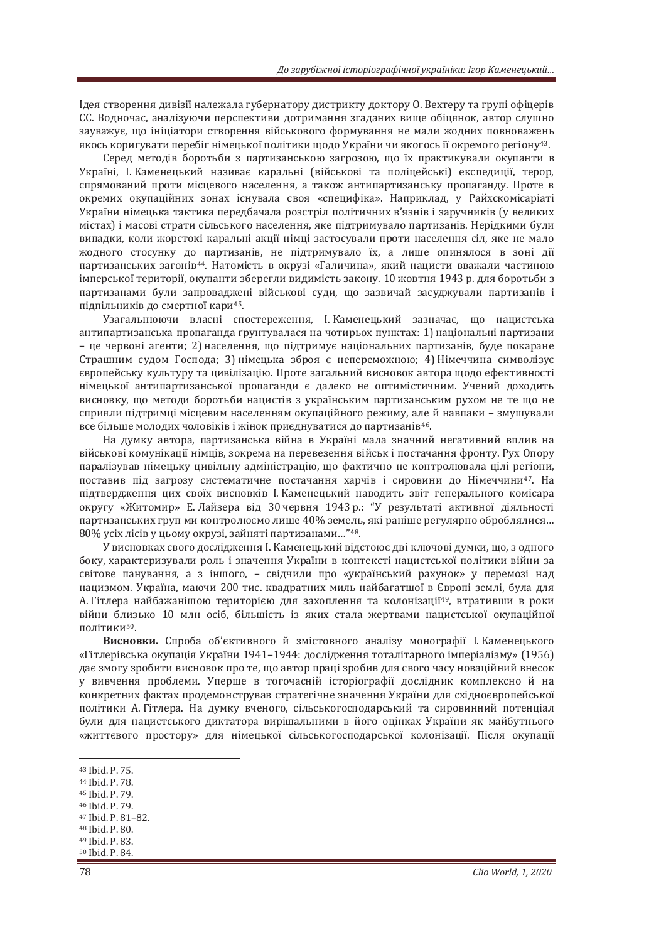Iдея створення дивізії належала губернатору дистрикту доктору О. Вехтеру та групі офіцерів СС. Водночас, аналізуючи перспективи дотримання згаданих вище обіцянок, автор слушно зауважує, що ініціатори створення військового формування не мали жодних повноважень якось коригувати перебіг німецької політики щодо України чи якогось її окремого регіону<sup>43</sup>.

Серед методів боротьби з партизанською загрозою, що їх практикували окупанти в Україні, І. Каменецький називає каральні (військові та поліцейські) експедиції, терор, спрямований проти місцевого населення, а також антипартизанську пропаганду. Проте в окремих окупаційних зонах існувала своя «специфіка». Наприклад, у Райхскомісаріаті України німецька тактика передбачала розстріл політичних в'язнів і заручників (у великих містах) і масові страти сільського населення, яке підтримувало партизанів. Нерідкими були випадки, коли жорстокі каральні акції німці застосували проти населення сіл, яке не мало ЖОДНОГО СТОСУНКУ ДО ПАРТИЗАНІВ, НЕ ПІДТРИМУВАЛО ЇХ, А ЛИШЕ ОПИНЯЛОСЯ В ЗОНІ ДІЇ партизанських загонів<sup>44</sup>. Натомість в окрузі «Галичина», який нацисти вважали частиною імперської території, окупанти зберегли видимість закону. 10 жовтня 1943 р. для боротьби з партизанами були запроваджені військові суди, що зазвичай засуджували партизанів і підпільників до смертної кари<sup>45</sup>.

Узагальнюючи власні спостереження, І. Каменецький зазначає, що нацистська антипартизанська пропаганда ґрунтувалася на чотирьох пунктах: 1) національні партизани – це червоні агенти; 2) населення, що підтримує національних партизанів, буде покаране Страшним судом Господа; 3) німецька зброя є непереможною; 4) Німеччина символізує європейську культуру та цивілізацію. Проте загальний висновок автора щодо ефективності німецької антипартизанської пропаганди є далеко не оптимістичним. Учений доходить висновку, що методи боротьби нацистів з українським партизанським рухом не те що не сприяли підтримці місцевим населенням окупаційного режиму, але й навпаки – змушували все більше молодих чоловіків і жінок приєднуватися до партизанів<sup>46</sup>.

На думку автора, партизанська війна в Україні мала значний негативний вплив на військові комунікації німців, зокрема на перевезення військ і постачання фронту. Рух Опору паралізував німецьку цивільну адміністрацію, що фактично не контролювала цілі регіони, поставив під загрозу систематичне постачання харчів і сировини до Німеччини<sup>47</sup>. На підтвердження цих своїх висновків І. Каменецький наводить звіт генерального комісара округу «Житомир» Е. Лайзера від 30 червня 1943 р.: "У результаті активної діяльності партизанських груп ми контролюємо лише 40% земель, які раніше регулярно оброблялися...  $80\%$  vcix лісів у цьому окрузі, зайняті партизанами..."<sup>48</sup>.

У висновках свого дослідження І. Каменецький відстоює дві ключові думки, що, з одного боку, характеризували роль і значення України в контексті нацистської політики війни за світове панування, а з іншого, - свідчили про «український рахунок» у перемозі над нацизмом. Україна, маючи 200 тис. квадратних миль найбагатшої в Європі землі, була для А. Гітлера найбажанішою територією для захоплення та колонізації<sup>49</sup>, втративши в роки війни близько 10 млн осіб, більшість із яких стала жертвами нацистської окупаційної політики<sup>50</sup>.

Висновки. Спроба об'єктивного й змістовного аналізу монографії І. Каменецького «Гітлерівська окупація України 1941–1944: дослідження тоталітарного імперіалізму» (1956) дає змогу зробити висновок про те, що автор праці зробив для свого часу новаційний внесок у вивчення проблеми. Уперше в тогочасній історіографії дослідник комплексно й на конкретних фактах продемонстрував стратегічне значення України для східноєвропейської політики А. Гітлера. На думку вченого, сільськогосподарський та сировинний потенціал були для нацистського диктатора вирішальними в його оцінках України як майбутнього «життєвого простору» для німецької сільськогосподарської колонізації. Після окупації

- 45 Ibid. P. 79.
- 46 Ibid. P. 79.
- <sup>47</sup> Ibid. P. 81-82.<br><sup>48</sup> Ibid. P. 80.
- 
- 49 Ibid. P. 83.
- <sup>50</sup> Ibid. Ρ. 84.

<sup>43</sup> Ibid. P. 75.

<sup>44</sup> Ibid. P. 78.